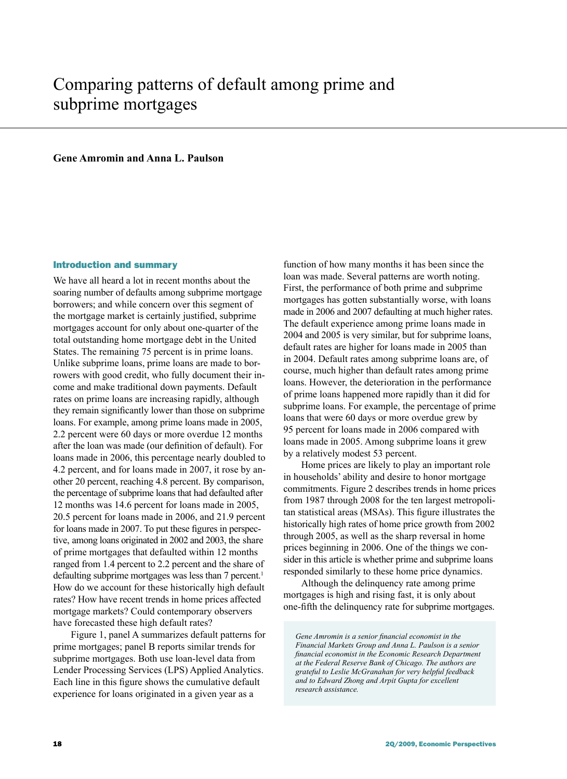# Comparing patterns of default among prime and subprime mortgages

# **Gene Amromin and Anna L. Paulson**

# Introduction and summary

We have all heard a lot in recent months about the soaring number of defaults among subprime mortgage borrowers; and while concern over this segment of the mortgage market is certainly justified, subprime mortgages account for only about one-quarter of the total outstanding home mortgage debt in the United States. The remaining 75 percent is in prime loans. Unlike subprime loans, prime loans are made to borrowers with good credit, who fully document their income and make traditional down payments. Default rates on prime loans are increasing rapidly, although they remain significantly lower than those on subprime loans. For example, among prime loans made in 2005, 2.2 percent were 60 days or more overdue 12 months after the loan was made (our definition of default). For loans made in 2006, this percentage nearly doubled to 4.2 percent, and for loans made in 2007, it rose by another 20 percent, reaching 4.8 percent. By comparison, the percentage of subprime loans that had defaulted after 12 months was 14.6 percent for loans made in 2005, 20.5 percent for loans made in 2006, and 21.9 percent for loans made in 2007. To put these figures in perspective, among loans originated in 2002 and 2003, the share of prime mortgages that defaulted within 12 months ranged from 1.4 percent to 2.2 percent and the share of defaulting subprime mortgages was less than 7 percent.<sup>1</sup> How do we account for these historically high default rates? How have recent trends in home prices affected mortgage markets? Could contemporary observers have forecasted these high default rates?

Figure 1, panel A summarizes default patterns for prime mortgages; panel B reports similar trends for subprime mortgages. Both use loan-level data from Lender Processing Services (LPS) Applied Analytics. Each line in this figure shows the cumulative default experience for loans originated in a given year as a

function of how many months it has been since the loan was made. Several patterns are worth noting. First, the performance of both prime and subprime mortgages has gotten substantially worse, with loans made in 2006 and 2007 defaulting at much higher rates. The default experience among prime loans made in 2004 and 2005 is very similar, but for subprime loans, default rates are higher for loans made in 2005 than in 2004. Default rates among subprime loans are, of course, much higher than default rates among prime loans. However, the deterioration in the performance of prime loans happened more rapidly than it did for subprime loans. For example, the percentage of prime loans that were 60 days or more overdue grew by 95 percent for loans made in 2006 compared with loans made in 2005. Among subprime loans it grew by a relatively modest 53 percent.

Home prices are likely to play an important role in households' ability and desire to honor mortgage commitments. Figure 2 describes trends in home prices from 1987 through 2008 for the ten largest metropolitan statistical areas (MSAs). This figure illustrates the historically high rates of home price growth from 2002 through 2005, as well as the sharp reversal in home prices beginning in 2006. One of the things we consider in this article is whether prime and subprime loans responded similarly to these home price dynamics.

Although the delinquency rate among prime mortgages is high and rising fast, it is only about one-fifth the delinquency rate for subprime mortgages.

*Gene Amromin is a senior financial economist in the Financial Markets Group and Anna L. Paulson is a senior financial economist in the Economic Research Department at the Federal Reserve Bank of Chicago. The authors are grateful to Leslie McGranahan for very helpful feedback and to Edward Zhong and Arpit Gupta for excellent research assistance.*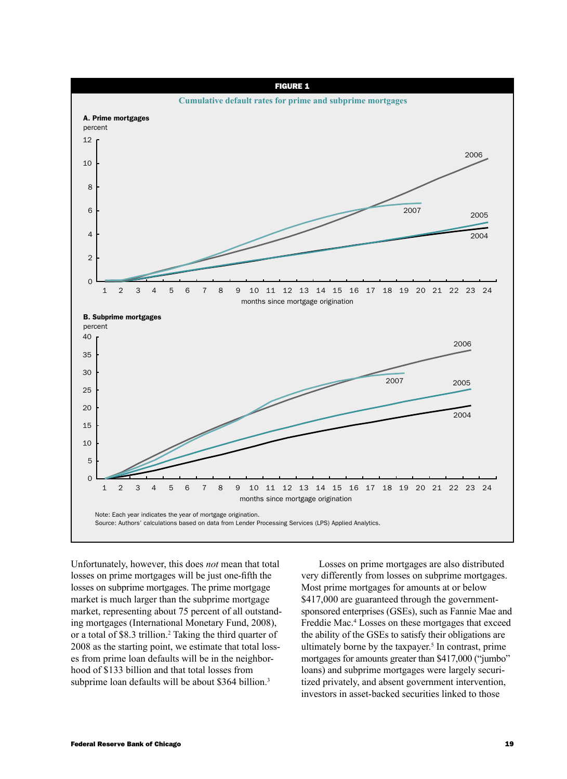

Unfortunately, however, this does *not* mean that total losses on prime mortgages will be just one-fifth the losses on subprime mortgages. The prime mortgage market is much larger than the subprime mortgage market, representing about 75 percent of all outstanding mortgages (International Monetary Fund, 2008), or a total of \$8.3 trillion.<sup>2</sup> Taking the third quarter of 2008 as the starting point, we estimate that total losses from prime loan defaults will be in the neighborhood of \$133 billion and that total losses from subprime loan defaults will be about \$364 billion.<sup>3</sup>

Losses on prime mortgages are also distributed very differently from losses on subprime mortgages. Most prime mortgages for amounts at or below \$417,000 are guaranteed through the governmentsponsored enterprises (GSEs), such as Fannie Mae and Freddie Mac.<sup>4</sup> Losses on these mortgages that exceed the ability of the GSEs to satisfy their obligations are ultimately borne by the taxpayer.<sup>5</sup> In contrast, prime mortgages for amounts greater than \$417,000 ("jumbo" loans) and subprime mortgages were largely securitized privately, and absent government intervention, investors in asset-backed securities linked to those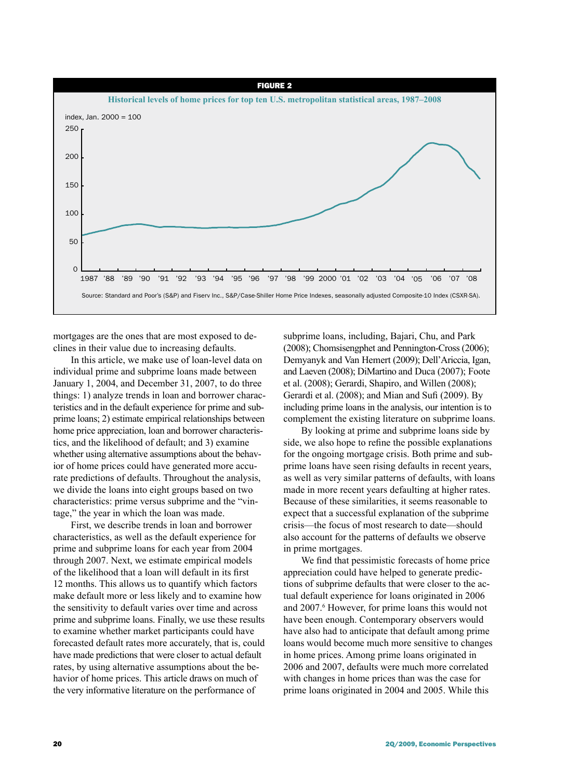

mortgages are the ones that are most exposed to declines in their value due to increasing defaults.

In this article, we make use of loan-level data on individual prime and subprime loans made between January 1, 2004, and December 31, 2007, to do three things: 1) analyze trends in loan and borrower characteristics and in the default experience for prime and subprime loans; 2) estimate empirical relationships between home price appreciation, loan and borrower characteristics, and the likelihood of default; and 3) examine whether using alternative assumptions about the behavior of home prices could have generated more accurate predictions of defaults. Throughout the analysis, we divide the loans into eight groups based on two characteristics: prime versus subprime and the "vintage," the year in which the loan was made.

First, we describe trends in loan and borrower characteristics, as well as the default experience for prime and subprime loans for each year from 2004 through 2007. Next, we estimate empirical models of the likelihood that a loan will default in its first 12 months. This allows us to quantify which factors make default more or less likely and to examine how the sensitivity to default varies over time and across prime and subprime loans. Finally, we use these results to examine whether market participants could have forecasted default rates more accurately, that is, could have made predictions that were closer to actual default rates, by using alternative assumptions about the behavior of home prices. This article draws on much of the very informative literature on the performance of

subprime loans, including, Bajari, Chu, and Park (2008); Chomsisengphet and Pennington-Cross (2006); Demyanyk and Van Hemert (2009); Dell'Ariccia, Igan, and Laeven (2008); DiMartino and Duca (2007); Foote et al. (2008); Gerardi, Shapiro, and Willen (2008); Gerardi et al. (2008); and Mian and Sufi (2009). By including prime loans in the analysis, our intention is to complement the existing literature on subprime loans.

By looking at prime and subprime loans side by side, we also hope to refine the possible explanations for the ongoing mortgage crisis. Both prime and subprime loans have seen rising defaults in recent years, as well as very similar patterns of defaults, with loans made in more recent years defaulting at higher rates. Because of these similarities, it seems reasonable to expect that a successful explanation of the subprime crisis—the focus of most research to date—should also account for the patterns of defaults we observe in prime mortgages.

We find that pessimistic forecasts of home price appreciation could have helped to generate predictions of subprime defaults that were closer to the actual default experience for loans originated in 2006 and 2007.<sup>6</sup> However, for prime loans this would not have been enough. Contemporary observers would have also had to anticipate that default among prime loans would become much more sensitive to changes in home prices. Among prime loans originated in 2006 and 2007, defaults were much more correlated with changes in home prices than was the case for prime loans originated in 2004 and 2005. While this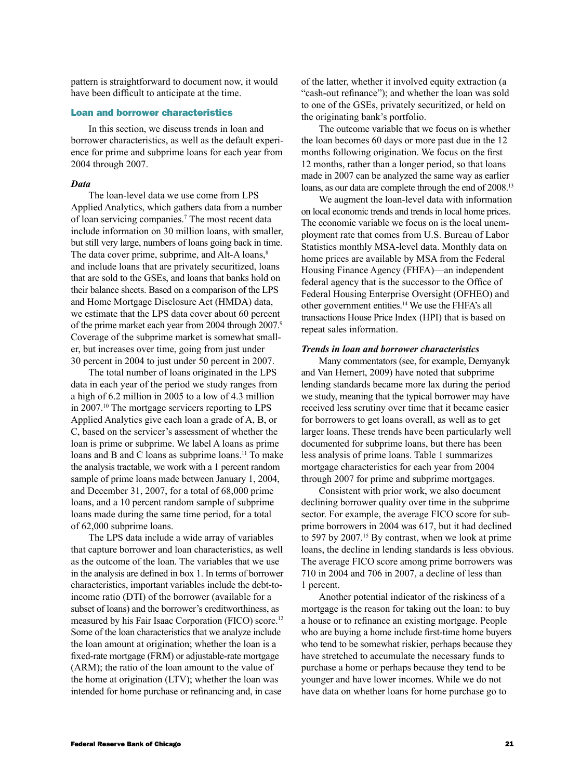pattern is straightforward to document now, it would have been difficult to anticipate at the time.

# Loan and borrower characteristics

In this section, we discuss trends in loan and borrower characteristics, as well as the default experience for prime and subprime loans for each year from 2004 through 2007.

#### *Data*

The loan-level data we use come from LPS Applied Analytics, which gathers data from a number of loan servicing companies.<sup>7</sup> The most recent data include information on 30 million loans, with smaller, but still very large, numbers of loans going back in time. The data cover prime, subprime, and Alt-A loans,<sup>8</sup> and include loans that are privately securitized, loans that are sold to the GSEs, and loans that banks hold on their balance sheets. Based on a comparison of the LPS and Home Mortgage Disclosure Act (HMDA) data, we estimate that the LPS data cover about 60 percent of the prime market each year from 2004 through 2007.9 Coverage of the subprime market is somewhat smaller, but increases over time, going from just under 30 percent in 2004 to just under 50 percent in 2007.

The total number of loans originated in the LPS data in each year of the period we study ranges from a high of 6.2 million in 2005 to a low of 4.3 million in 2007.10 The mortgage servicers reporting to LPS Applied Analytics give each loan a grade of A, B, or C, based on the servicer's assessment of whether the loan is prime or subprime. We label A loans as prime loans and B and C loans as subprime loans.<sup>11</sup> To make the analysis tractable, we work with a 1 percent random sample of prime loans made between January 1, 2004, and December 31, 2007, for a total of 68,000 prime loans, and a 10 percent random sample of subprime loans made during the same time period, for a total of 62,000 subprime loans.

The LPS data include a wide array of variables that capture borrower and loan characteristics, as well as the outcome of the loan. The variables that we use in the analysis are defined in box 1. In terms of borrower characteristics, important variables include the debt-toincome ratio (DTI) of the borrower (available for a subset of loans) and the borrower's creditworthiness, as measured by his Fair Isaac Corporation (FICO) score.<sup>12</sup> Some of the loan characteristics that we analyze include the loan amount at origination; whether the loan is a fixed-rate mortgage (FRM) or adjustable-rate mortgage (ARM); the ratio of the loan amount to the value of the home at origination (LTV); whether the loan was intended for home purchase or refinancing and, in case

of the latter, whether it involved equity extraction (a "cash-out refinance"); and whether the loan was sold to one of the GSEs, privately securitized, or held on the originating bank's portfolio.

The outcome variable that we focus on is whether the loan becomes 60 days or more past due in the 12 months following origination. We focus on the first 12 months, rather than a longer period, so that loans made in 2007 can be analyzed the same way as earlier loans, as our data are complete through the end of 2008.<sup>13</sup>

We augment the loan-level data with information on local economic trends and trends in local home prices. The economic variable we focus on is the local unemployment rate that comes from U.S. Bureau of Labor Statistics monthly MSA-level data. Monthly data on home prices are available by MSA from the Federal Housing Finance Agency (FHFA)—an independent federal agency that is the successor to the Office of Federal Housing Enterprise Oversight (OFHEO) and other government entities.14 We use the FHFA's all transactions House Price Index (HPI) that is based on repeat sales information.

#### *Trends in loan and borrower characteristics*

Many commentators (see, for example, Demyanyk and Van Hemert, 2009) have noted that subprime lending standards became more lax during the period we study, meaning that the typical borrower may have received less scrutiny over time that it became easier for borrowers to get loans overall, as well as to get larger loans. These trends have been particularly well documented for subprime loans, but there has been less analysis of prime loans. Table 1 summarizes mortgage characteristics for each year from 2004 through 2007 for prime and subprime mortgages.

Consistent with prior work, we also document declining borrower quality over time in the subprime sector. For example, the average FICO score for subprime borrowers in 2004 was 617, but it had declined to 597 by 2007.<sup>15</sup> By contrast, when we look at prime loans, the decline in lending standards is less obvious. The average FICO score among prime borrowers was 710 in 2004 and 706 in 2007, a decline of less than 1 percent.

Another potential indicator of the riskiness of a mortgage is the reason for taking out the loan: to buy a house or to refinance an existing mortgage. People who are buying a home include first-time home buyers who tend to be somewhat riskier, perhaps because they have stretched to accumulate the necessary funds to purchase a home or perhaps because they tend to be younger and have lower incomes. While we do not have data on whether loans for home purchase go to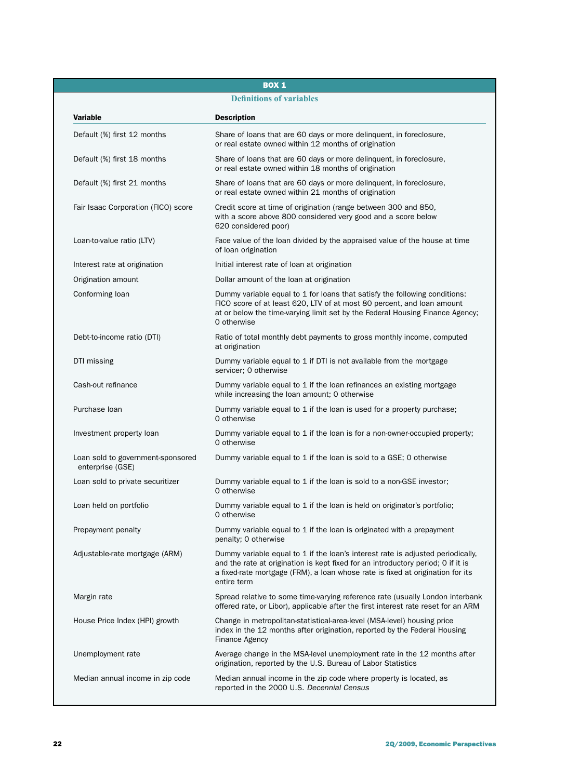# BOX 1

# **Definitions of variables**

| <b>Variable</b>                                       | <b>Description</b>                                                                                                                                                                                                                                                   |
|-------------------------------------------------------|----------------------------------------------------------------------------------------------------------------------------------------------------------------------------------------------------------------------------------------------------------------------|
| Default (%) first 12 months                           | Share of loans that are 60 days or more delinquent, in foreclosure,<br>or real estate owned within 12 months of origination                                                                                                                                          |
| Default (%) first 18 months                           | Share of loans that are 60 days or more delinguent, in foreclosure,<br>or real estate owned within 18 months of origination                                                                                                                                          |
| Default (%) first 21 months                           | Share of loans that are 60 days or more delinguent, in foreclosure,<br>or real estate owned within 21 months of origination                                                                                                                                          |
| Fair Isaac Corporation (FICO) score                   | Credit score at time of origination (range between 300 and 850,<br>with a score above 800 considered very good and a score below<br>620 considered poor)                                                                                                             |
| Loan-to-value ratio (LTV)                             | Face value of the loan divided by the appraised value of the house at time<br>of loan origination                                                                                                                                                                    |
| Interest rate at origination                          | Initial interest rate of loan at origination                                                                                                                                                                                                                         |
| Origination amount                                    | Dollar amount of the loan at origination                                                                                                                                                                                                                             |
| Conforming loan                                       | Dummy variable equal to 1 for loans that satisfy the following conditions:<br>FICO score of at least 620, LTV of at most 80 percent, and loan amount<br>at or below the time-varying limit set by the Federal Housing Finance Agency;<br>0 otherwise                 |
| Debt-to-income ratio (DTI)                            | Ratio of total monthly debt payments to gross monthly income, computed<br>at origination                                                                                                                                                                             |
| DTI missing                                           | Dummy variable equal to 1 if DTI is not available from the mortgage<br>servicer; 0 otherwise                                                                                                                                                                         |
| Cash-out refinance                                    | Dummy variable equal to 1 if the loan refinances an existing mortgage<br>while increasing the loan amount; O otherwise                                                                                                                                               |
| Purchase Ioan                                         | Dummy variable equal to 1 if the loan is used for a property purchase;<br>0 otherwise                                                                                                                                                                                |
| Investment property loan                              | Dummy variable equal to 1 if the loan is for a non-owner-occupied property;<br>0 otherwise                                                                                                                                                                           |
| Loan sold to government-sponsored<br>enterprise (GSE) | Dummy variable equal to 1 if the loan is sold to a GSE; 0 otherwise                                                                                                                                                                                                  |
| Loan sold to private securitizer                      | Dummy variable equal to 1 if the loan is sold to a non-GSE investor;<br>0 otherwise                                                                                                                                                                                  |
| Loan held on portfolio                                | Dummy variable equal to 1 if the loan is held on originator's portfolio;<br>0 otherwise                                                                                                                                                                              |
| Prepayment penalty                                    | Dummy variable equal to 1 if the loan is originated with a prepayment<br>penalty; 0 otherwise                                                                                                                                                                        |
| Adjustable-rate mortgage (ARM)                        | Dummy variable equal to 1 if the loan's interest rate is adjusted periodically,<br>and the rate at origination is kept fixed for an introductory period; O if it is<br>a fixed-rate mortgage (FRM), a loan whose rate is fixed at origination for its<br>entire term |
| Margin rate                                           | Spread relative to some time-varying reference rate (usually London interbank<br>offered rate, or Libor), applicable after the first interest rate reset for an ARM                                                                                                  |
| House Price Index (HPI) growth                        | Change in metropolitan-statistical-area-level (MSA-level) housing price<br>index in the 12 months after origination, reported by the Federal Housing<br><b>Finance Agency</b>                                                                                        |
| Unemployment rate                                     | Average change in the MSA-level unemployment rate in the 12 months after<br>origination, reported by the U.S. Bureau of Labor Statistics                                                                                                                             |
| Median annual income in zip code                      | Median annual income in the zip code where property is located, as<br>reported in the 2000 U.S. Decennial Census                                                                                                                                                     |
|                                                       |                                                                                                                                                                                                                                                                      |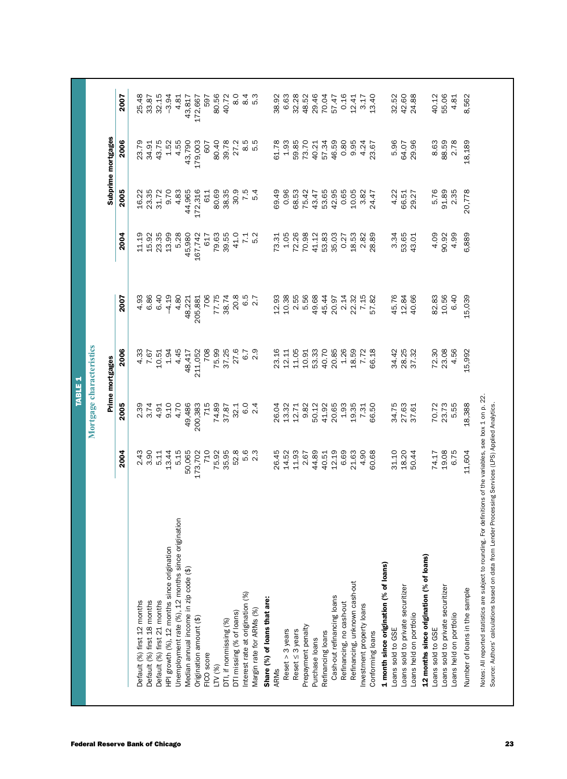| 2004<br>3.90<br>13.44<br>2.43<br>5.11<br>HPI growth (%), 12 months since origination<br>Default (%) first 12 months<br>Default (%) first 18 months<br>Default (%) first 21 months |                   |                 |         |                 |         |                    |
|-----------------------------------------------------------------------------------------------------------------------------------------------------------------------------------|-------------------|-----------------|---------|-----------------|---------|--------------------|
|                                                                                                                                                                                   |                   | Prime mortgages |         |                 |         | Subprime mortgages |
|                                                                                                                                                                                   | 2005              | 2006            | 2007    | 2004            | 2005    | 2006               |
|                                                                                                                                                                                   | 2.39              | 4.33            | 4.93    | 11.19           | 16.22   | 23.79              |
|                                                                                                                                                                                   | 3.74              | 7.67            | 6.86    | 15.92           | 23.35   | 34.91              |
|                                                                                                                                                                                   | 4.91              | 10.51           | 6.40    | 23.35           | 31.72   | 43.75              |
|                                                                                                                                                                                   | 9.10              | 1.94            | $-4.19$ | 13.99           | 9.70    | 1.52               |
| 5.15<br>Unemployment rate (%), 12 months since origination                                                                                                                        | 4.70              | 4.45            | 4.80    | 5.28            | 4.83    | 4.55               |
| 50,065<br>Median annual income in zip code (\$)                                                                                                                                   | 49,486            | 48,417          | 48,221  | 45,980          | 44,965  | 43,790             |
| 173,702<br>Origination amount (\$)                                                                                                                                                | 200,383           | 211,052         | 205,881 | 167,742         | 172,316 | 179,003            |
| 710<br>FICO score                                                                                                                                                                 | 715               | 708             | 706     | 617             | 611     | 607                |
| 75.92<br>LTV (%)                                                                                                                                                                  | 74.89             | 75.99           | 77.75   | 79.63           | 80.69   | 80.40              |
| 35.95<br>DTI, if nonmissing (%)                                                                                                                                                   | 37.87             | 37.25           | 38.74   | 39.55           | 38.35   | 39.78              |
| 52.8<br>DTI missing (% of loans)                                                                                                                                                  | 32.1              | 27.6            | 20.8    | 41.0            | 30.9    | 27.2               |
| Interest rate at origination (%)                                                                                                                                                  | $\overline{6}$ .0 | 6.7             | 6.5     | $\overline{71}$ | 7.5     | 8.5                |
| 5.<br>5. 2.<br>Margin rate for ARMs (%)                                                                                                                                           | $\overline{24}$   | 2.9             | 2.7     | 5.2             | 5.4     | 5.5                |
| Share (%) of loans that are:                                                                                                                                                      |                   |                 |         |                 |         |                    |
| 26.45<br>ARMs                                                                                                                                                                     | 26.04             | 23.16           | 12.93   | 73.31           | 69.49   | 61.78              |
| 14.52<br>Reset $>$ 3 years                                                                                                                                                        | 13.32             | 12.11           | 10.38   | 1.05            | 0.96    | 1.93               |
| 11.93<br>Reset $\leq$ 3 years                                                                                                                                                     | 12.71             | 11.05           | 2.55    | 72.26           | 68.53   | 59.85              |
| 2.67<br>Prepayment penalty                                                                                                                                                        | 9.82              | 10.91           | 5.56    | 70.98           | 75.42   | 73.70              |
| 44.89<br>Purchase loans                                                                                                                                                           | 50.12             | 53.33           | 49.68   | 41.12           | 43.47   | 40.21              |
| 40.51<br>Refinancing loans                                                                                                                                                        | 41.92             | 40.70           | 45.44   | 53.83           | 53.65   | 57.34              |
| 12.19<br>Cash-out refinancing loans                                                                                                                                               | 20.65             | 20.85           | 20.97   | 35.03           | 42.95   | 46.59              |
| 6.69<br>Refinancing, no cash-out                                                                                                                                                  | 1.93              | 1.26            | 2.14    | 0.27            | 0.65    | 0.80               |
| 21.63<br>Refinancing, unknown cash-out                                                                                                                                            | 19.35             | 18.59           | 22.32   | 18.53           | 10.05   | 9.95               |
| 4.90<br>Investment property loans                                                                                                                                                 | 7.31              | 7.72            | 7.15    | 2.82            | 3.82    | 4.24               |
| 60.68<br>Conforming loans                                                                                                                                                         | 66.50             | 66.18           | 57.82   | 28.89           | 24.47   | 23.67              |
| 1 month since origination (% of loans)                                                                                                                                            |                   |                 |         |                 |         |                    |
| 31.10<br>Loans sold to GSE                                                                                                                                                        | 34.75             | 34.42           | 45.76   | 3.34            | 4.22    | 5.96               |
| 18.20<br>Loans sold to private securitizer                                                                                                                                        | 27.63             | 28.25           | 12.84   | 53.65           | 66.51   | 64.07              |
| 50.44<br>Loans held on portfolio                                                                                                                                                  | 37.61             | 37.32           | 40.66   | 43.01           | 29.27   | 29.96              |
| 12 months since origination (% of loans)                                                                                                                                          |                   |                 |         |                 |         |                    |
| 74.17<br>Loans sold to GSE                                                                                                                                                        | 70.72             | 72.30           | 82.83   | 4.09            | 5.76    | 8.63               |
| 19.08<br>Loans sold to private securitizer                                                                                                                                        | 23.73             | 23.08           | 10.56   | 90.92           | 91.89   | 88.59              |
| 6.75<br>Loans held on portfolio                                                                                                                                                   | 5.55              | 4.56            | 6.40    | 4.99            | 2.35    | 2.78               |
| 11,604<br>Number of loans in the sample                                                                                                                                           | 18,388            | 15,992          | 15,039  | 6,889           | 20,778  | 18,189             |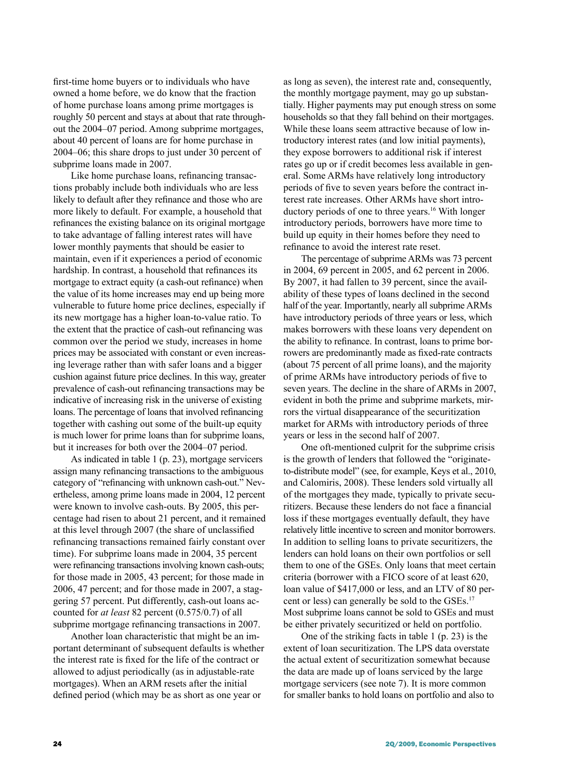first-time home buyers or to individuals who have owned a home before, we do know that the fraction of home purchase loans among prime mortgages is roughly 50 percent and stays at about that rate throughout the 2004–07 period. Among subprime mortgages, about 40 percent of loans are for home purchase in 2004–06; this share drops to just under 30 percent of subprime loans made in 2007.

Like home purchase loans, refinancing transactions probably include both individuals who are less likely to default after they refinance and those who are more likely to default. For example, a household that refinances the existing balance on its original mortgage to take advantage of falling interest rates will have lower monthly payments that should be easier to maintain, even if it experiences a period of economic hardship. In contrast, a household that refinances its mortgage to extract equity (a cash-out refinance) when the value of its home increases may end up being more vulnerable to future home price declines, especially if its new mortgage has a higher loan-to-value ratio. To the extent that the practice of cash-out refinancing was common over the period we study, increases in home prices may be associated with constant or even increasing leverage rather than with safer loans and a bigger cushion against future price declines. In this way, greater prevalence of cash-out refinancing transactions may be indicative of increasing risk in the universe of existing loans. The percentage of loans that involved refinancing together with cashing out some of the built-up equity is much lower for prime loans than for subprime loans, but it increases for both over the 2004–07 period.

As indicated in table 1 (p. 23), mortgage servicers assign many refinancing transactions to the ambiguous category of "refinancing with unknown cash-out." Nevertheless, among prime loans made in 2004, 12 percent were known to involve cash-outs. By 2005, this percentage had risen to about 21 percent, and it remained at this level through 2007 (the share of unclassified refinancing transactions remained fairly constant over time). For subprime loans made in 2004, 35 percent were refinancing transactions involving known cash-outs; for those made in 2005, 43 percent; for those made in 2006, 47 percent; and for those made in 2007, a staggering 57 percent. Put differently, cash-out loans accounted for *at least* 82 percent (0.575/0.7) of all subprime mortgage refinancing transactions in 2007.

Another loan characteristic that might be an important determinant of subsequent defaults is whether the interest rate is fixed for the life of the contract or allowed to adjust periodically (as in adjustable-rate mortgages). When an ARM resets after the initial defined period (which may be as short as one year or

as long as seven), the interest rate and, consequently, the monthly mortgage payment, may go up substantially. Higher payments may put enough stress on some households so that they fall behind on their mortgages. While these loans seem attractive because of low introductory interest rates (and low initial payments), they expose borrowers to additional risk if interest rates go up or if credit becomes less available in general. Some ARMs have relatively long introductory periods of five to seven years before the contract interest rate increases. Other ARMs have short introductory periods of one to three years.<sup>16</sup> With longer introductory periods, borrowers have more time to build up equity in their homes before they need to refinance to avoid the interest rate reset.

The percentage of subprime ARMs was 73 percent in 2004, 69 percent in 2005, and 62 percent in 2006. By 2007, it had fallen to 39 percent, since the availability of these types of loans declined in the second half of the year. Importantly, nearly all subprime ARMs have introductory periods of three years or less, which makes borrowers with these loans very dependent on the ability to refinance. In contrast, loans to prime borrowers are predominantly made as fixed-rate contracts (about 75 percent of all prime loans), and the majority of prime ARMs have introductory periods of five to seven years. The decline in the share of ARMs in 2007, evident in both the prime and subprime markets, mirrors the virtual disappearance of the securitization market for ARMs with introductory periods of three years or less in the second half of 2007.

One oft-mentioned culprit for the subprime crisis is the growth of lenders that followed the "originateto-distribute model" (see, for example, Keys et al., 2010, and Calomiris, 2008). These lenders sold virtually all of the mortgages they made, typically to private securitizers. Because these lenders do not face a financial loss if these mortgages eventually default, they have relatively little incentive to screen and monitor borrowers. In addition to selling loans to private securitizers, the lenders can hold loans on their own portfolios or sell them to one of the GSEs. Only loans that meet certain criteria (borrower with a FICO score of at least 620, loan value of \$417,000 or less, and an LTV of 80 percent or less) can generally be sold to the GSEs.<sup>17</sup> Most subprime loans cannot be sold to GSEs and must be either privately securitized or held on portfolio.

One of the striking facts in table 1 (p. 23) is the extent of loan securitization. The LPS data overstate the actual extent of securitization somewhat because the data are made up of loans serviced by the large mortgage servicers (see note 7). It is more common for smaller banks to hold loans on portfolio and also to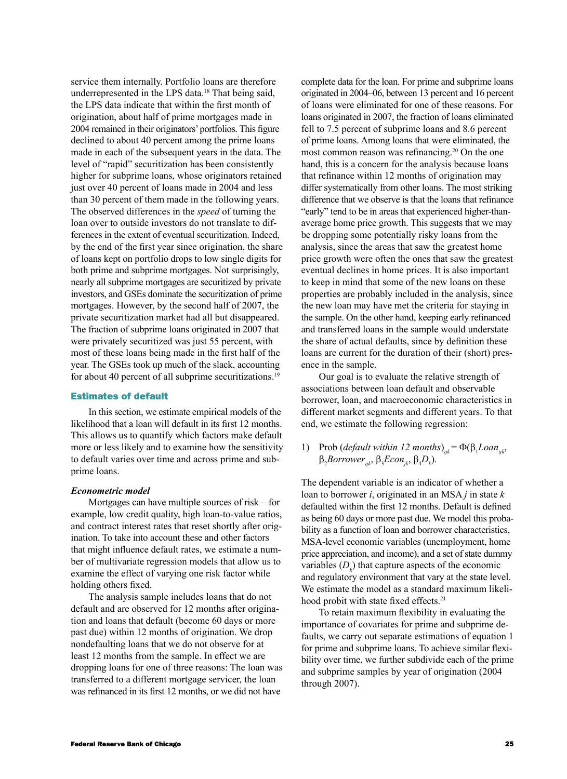service them internally. Portfolio loans are therefore underrepresented in the LPS data.18 That being said, the LPS data indicate that within the first month of origination, about half of prime mortgages made in 2004 remained in their originators' portfolios. This figure declined to about 40 percent among the prime loans made in each of the subsequent years in the data. The level of "rapid" securitization has been consistently higher for subprime loans, whose originators retained just over 40 percent of loans made in 2004 and less than 30 percent of them made in the following years. The observed differences in the *speed* of turning the loan over to outside investors do not translate to differences in the extent of eventual securitization. Indeed, by the end of the first year since origination, the share of loans kept on portfolio drops to low single digits for both prime and subprime mortgages. Not surprisingly, nearly all subprime mortgages are securitized by private investors, and GSEs dominate the securitization of prime mortgages. However, by the second half of 2007, the private securitization market had all but disappeared. The fraction of subprime loans originated in 2007 that were privately securitized was just 55 percent, with most of these loans being made in the first half of the year. The GSEs took up much of the slack, accounting for about 40 percent of all subprime securitizations.<sup>19</sup>

# Estimates of default

In this section, we estimate empirical models of the likelihood that a loan will default in its first 12 months. This allows us to quantify which factors make default more or less likely and to examine how the sensitivity to default varies over time and across prime and subprime loans.

# *Econometric model*

Mortgages can have multiple sources of risk—for example, low credit quality, high loan-to-value ratios, and contract interest rates that reset shortly after origination. To take into account these and other factors that might influence default rates, we estimate a number of multivariate regression models that allow us to examine the effect of varying one risk factor while holding others fixed.

The analysis sample includes loans that do not default and are observed for 12 months after origination and loans that default (become 60 days or more past due) within 12 months of origination. We drop nondefaulting loans that we do not observe for at least 12 months from the sample. In effect we are dropping loans for one of three reasons: The loan was transferred to a different mortgage servicer, the loan was refinanced in its first 12 months, or we did not have

complete data for the loan. For prime and subprime loans originated in 2004–06, between 13 percent and 16 percent of loans were eliminated for one of these reasons. For loans originated in 2007, the fraction of loans eliminated fell to 7.5 percent of subprime loans and 8.6 percent of prime loans. Among loans that were eliminated, the most common reason was refinancing.20 On the one hand, this is a concern for the analysis because loans that refinance within 12 months of origination may differ systematically from other loans. The most striking difference that we observe is that the loans that refinance "early" tend to be in areas that experienced higher-thanaverage home price growth. This suggests that we may be dropping some potentially risky loans from the analysis, since the areas that saw the greatest home price growth were often the ones that saw the greatest eventual declines in home prices. It is also important to keep in mind that some of the new loans on these properties are probably included in the analysis, since the new loan may have met the criteria for staying in the sample. On the other hand, keeping early refinanced and transferred loans in the sample would understate the share of actual defaults, since by definition these loans are current for the duration of their (short) presence in the sample.

Our goal is to evaluate the relative strength of associations between loan default and observable borrower, loan, and macroeconomic characteristics in different market segments and different years. To that end, we estimate the following regression:

1) Prob (*default within 12 months*)<sub>*ijk</sub>* =  $\Phi(\beta_1 Loan_{ijk},$ </sub>  $\beta_2 \textit{Borrower}_{ijk}$ ,  $\beta_3 \textit{Econ}_{jk}$ ,  $\beta_4 D_k$ ).

The dependent variable is an indicator of whether a loan to borrower *i*, originated in an MSA *j* in state *k* defaulted within the first 12 months. Default is defined as being 60 days or more past due. We model this probability as a function of loan and borrower characteristics, MSA-level economic variables (unemployment, home price appreciation, and income), and a set of state dummy variables  $(D_k)$  that capture aspects of the economic and regulatory environment that vary at the state level. We estimate the model as a standard maximum likelihood probit with state fixed effects.<sup>21</sup>

To retain maximum flexibility in evaluating the importance of covariates for prime and subprime defaults, we carry out separate estimations of equation 1 for prime and subprime loans. To achieve similar flexibility over time, we further subdivide each of the prime and subprime samples by year of origination (2004 through 2007).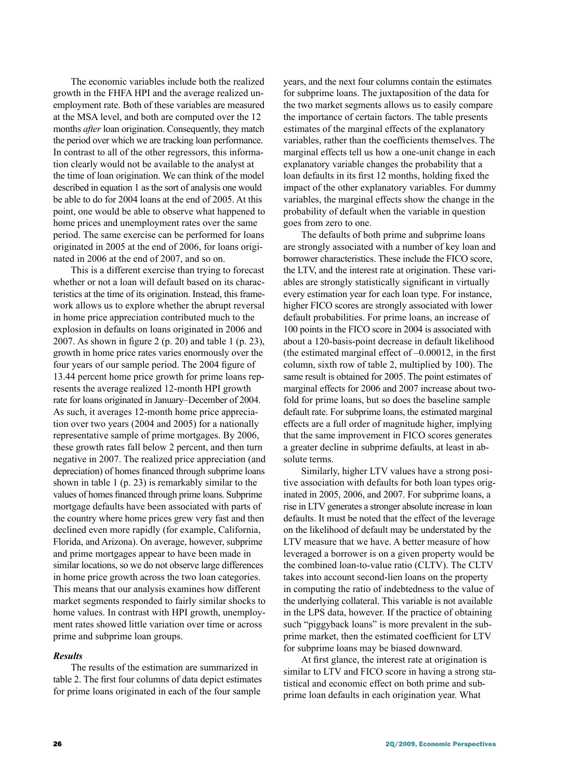The economic variables include both the realized growth in the FHFA HPI and the average realized unemployment rate. Both of these variables are measured at the MSA level, and both are computed over the 12 months *after* loan origination. Consequently, they match the period over which we are tracking loan performance. In contrast to all of the other regressors, this information clearly would not be available to the analyst at the time of loan origination. We can think of the model described in equation 1 as the sort of analysis one would be able to do for 2004 loans at the end of 2005. At this point, one would be able to observe what happened to home prices and unemployment rates over the same period. The same exercise can be performed for loans originated in 2005 at the end of 2006, for loans originated in 2006 at the end of 2007, and so on.

This is a different exercise than trying to forecast whether or not a loan will default based on its characteristics at the time of its origination. Instead, this framework allows us to explore whether the abrupt reversal in home price appreciation contributed much to the explosion in defaults on loans originated in 2006 and 2007. As shown in figure 2 (p. 20) and table 1 (p. 23), growth in home price rates varies enormously over the four years of our sample period. The 2004 figure of 13.44 percent home price growth for prime loans represents the average realized 12-month HPI growth rate for loans originated in January–December of 2004. As such, it averages 12-month home price appreciation over two years (2004 and 2005) for a nationally representative sample of prime mortgages. By 2006, these growth rates fall below 2 percent, and then turn negative in 2007. The realized price appreciation (and depreciation) of homes financed through subprime loans shown in table 1 (p. 23) is remarkably similar to the values of homes financed through prime loans. Subprime mortgage defaults have been associated with parts of the country where home prices grew very fast and then declined even more rapidly (for example, California, Florida, and Arizona). On average, however, subprime and prime mortgages appear to have been made in similar locations, so we do not observe large differences in home price growth across the two loan categories. This means that our analysis examines how different market segments responded to fairly similar shocks to home values. In contrast with HPI growth, unemployment rates showed little variation over time or across prime and subprime loan groups.

# *Results*

The results of the estimation are summarized in table 2. The first four columns of data depict estimates for prime loans originated in each of the four sample

years, and the next four columns contain the estimates for subprime loans. The juxtaposition of the data for the two market segments allows us to easily compare the importance of certain factors. The table presents estimates of the marginal effects of the explanatory variables, rather than the coefficients themselves. The marginal effects tell us how a one-unit change in each explanatory variable changes the probability that a loan defaults in its first 12 months, holding fixed the impact of the other explanatory variables. For dummy variables, the marginal effects show the change in the probability of default when the variable in question goes from zero to one.

The defaults of both prime and subprime loans are strongly associated with a number of key loan and borrower characteristics. These include the FICO score, the LTV, and the interest rate at origination. These variables are strongly statistically significant in virtually every estimation year for each loan type. For instance, higher FICO scores are strongly associated with lower default probabilities. For prime loans, an increase of 100 points in the FICO score in 2004 is associated with about a 120-basis-point decrease in default likelihood (the estimated marginal effect of  $-0.00012$ , in the first column, sixth row of table 2, multiplied by 100). The same result is obtained for 2005. The point estimates of marginal effects for 2006 and 2007 increase about twofold for prime loans, but so does the baseline sample default rate. For subprime loans, the estimated marginal effects are a full order of magnitude higher, implying that the same improvement in FICO scores generates a greater decline in subprime defaults, at least in absolute terms.

Similarly, higher LTV values have a strong positive association with defaults for both loan types originated in 2005, 2006, and 2007. For subprime loans, a rise in LTV generates a stronger absolute increase in loan defaults. It must be noted that the effect of the leverage on the likelihood of default may be understated by the LTV measure that we have. A better measure of how leveraged a borrower is on a given property would be the combined loan-to-value ratio (CLTV). The CLTV takes into account second-lien loans on the property in computing the ratio of indebtedness to the value of the underlying collateral. This variable is not available in the LPS data, however. If the practice of obtaining such "piggyback loans" is more prevalent in the subprime market, then the estimated coefficient for LTV for subprime loans may be biased downward.

At first glance, the interest rate at origination is similar to LTV and FICO score in having a strong statistical and economic effect on both prime and subprime loan defaults in each origination year. What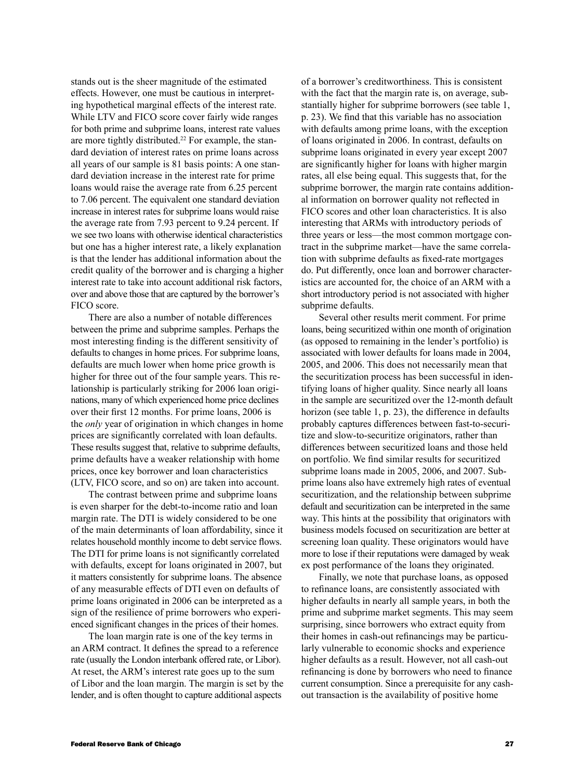stands out is the sheer magnitude of the estimated effects. However, one must be cautious in interpreting hypothetical marginal effects of the interest rate. While LTV and FICO score cover fairly wide ranges for both prime and subprime loans, interest rate values are more tightly distributed.<sup>22</sup> For example, the standard deviation of interest rates on prime loans across all years of our sample is 81 basis points: A one standard deviation increase in the interest rate for prime loans would raise the average rate from 6.25 percent to 7.06 percent. The equivalent one standard deviation increase in interest rates for subprime loans would raise the average rate from 7.93 percent to 9.24 percent. If we see two loans with otherwise identical characteristics but one has a higher interest rate, a likely explanation is that the lender has additional information about the credit quality of the borrower and is charging a higher interest rate to take into account additional risk factors, over and above those that are captured by the borrower's FICO score.

There are also a number of notable differences between the prime and subprime samples. Perhaps the most interesting finding is the different sensitivity of defaults to changes in home prices. For subprime loans, defaults are much lower when home price growth is higher for three out of the four sample years. This relationship is particularly striking for 2006 loan originations, many of which experienced home price declines over their first 12 months. For prime loans, 2006 is the *only* year of origination in which changes in home prices are significantly correlated with loan defaults. These results suggest that, relative to subprime defaults, prime defaults have a weaker relationship with home prices, once key borrower and loan characteristics (LTV, FICO score, and so on) are taken into account.

The contrast between prime and subprime loans is even sharper for the debt-to-income ratio and loan margin rate. The DTI is widely considered to be one of the main determinants of loan affordability, since it relates household monthly income to debt service flows. The DTI for prime loans is not significantly correlated with defaults, except for loans originated in 2007, but it matters consistently for subprime loans. The absence of any measurable effects of DTI even on defaults of prime loans originated in 2006 can be interpreted as a sign of the resilience of prime borrowers who experienced significant changes in the prices of their homes.

The loan margin rate is one of the key terms in an ARM contract. It defines the spread to a reference rate (usually the London interbank offered rate, or Libor). At reset, the ARM's interest rate goes up to the sum of Libor and the loan margin. The margin is set by the lender, and is often thought to capture additional aspects

of a borrower's creditworthiness. This is consistent with the fact that the margin rate is, on average, substantially higher for subprime borrowers (see table 1, p. 23). We find that this variable has no association with defaults among prime loans, with the exception of loans originated in 2006. In contrast, defaults on subprime loans originated in every year except 2007 are significantly higher for loans with higher margin rates, all else being equal. This suggests that, for the subprime borrower, the margin rate contains additional information on borrower quality not reflected in FICO scores and other loan characteristics. It is also interesting that ARMs with introductory periods of three years or less—the most common mortgage contract in the subprime market—have the same correlation with subprime defaults as fixed-rate mortgages do. Put differently, once loan and borrower characteristics are accounted for, the choice of an ARM with a short introductory period is not associated with higher subprime defaults.

Several other results merit comment. For prime loans, being securitized within one month of origination (as opposed to remaining in the lender's portfolio) is associated with lower defaults for loans made in 2004, 2005, and 2006. This does not necessarily mean that the securitization process has been successful in identifying loans of higher quality. Since nearly all loans in the sample are securitized over the 12-month default horizon (see table 1, p. 23), the difference in defaults probably captures differences between fast-to-securitize and slow-to-securitize originators, rather than differences between securitized loans and those held on portfolio. We find similar results for securitized subprime loans made in 2005, 2006, and 2007. Subprime loans also have extremely high rates of eventual securitization, and the relationship between subprime default and securitization can be interpreted in the same way. This hints at the possibility that originators with business models focused on securitization are better at screening loan quality. These originators would have more to lose if their reputations were damaged by weak ex post performance of the loans they originated.

Finally, we note that purchase loans, as opposed to refinance loans, are consistently associated with higher defaults in nearly all sample years, in both the prime and subprime market segments. This may seem surprising, since borrowers who extract equity from their homes in cash-out refinancings may be particularly vulnerable to economic shocks and experience higher defaults as a result. However, not all cash-out refinancing is done by borrowers who need to finance current consumption. Since a prerequisite for any cashout transaction is the availability of positive home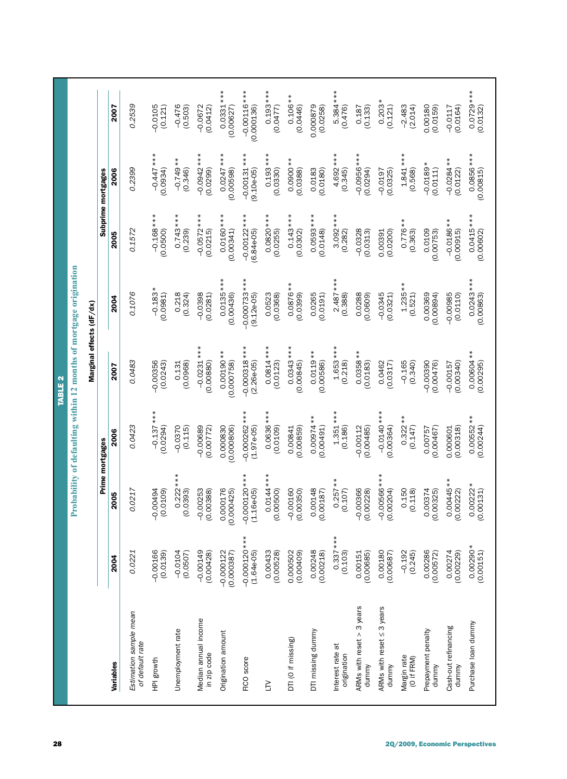| 28                             |                                           |                                |                                |                                 | <b>TABLE 2</b>                  | Probability of defaulting within 12 months of mortgage origination |                               |                               |                             |
|--------------------------------|-------------------------------------------|--------------------------------|--------------------------------|---------------------------------|---------------------------------|--------------------------------------------------------------------|-------------------------------|-------------------------------|-----------------------------|
|                                |                                           |                                |                                |                                 | Marginal effects (dF/dx)        |                                                                    |                               |                               |                             |
|                                |                                           |                                |                                | Prime mortgages                 |                                 |                                                                    |                               | Subprime mortgages            |                             |
|                                | Variables                                 | 2004                           | 2005                           | 2006                            | 2007                            | 2004                                                               | 2005                          | <b>2006</b>                   | 2007                        |
|                                | Estimation sample mean<br>of default rate | 0.0221                         | 0.0217                         | 0.0423                          | 0.0483                          | 0.1076                                                             | 0.1572                        | 0.2399                        | 0.2539                      |
|                                | HPI growth                                | $-0.00166$<br>(0.0139)         | -0.00494<br>(0.0109)           | $-0.137***$<br>(0.0294)         | $-0.00356$<br>(0.0243)          | $-0.183*$<br>(0.0981)                                              | $-0.168***$<br>(0.0500)       | $-0.447$ ***<br>0.0934)       | $-0.0105$<br>(0.121)        |
|                                | Unemployment rate                         | $-0.0104$<br>(0.0507)          | $0.222***$<br>(0.0393)         | $-0.0370$<br>(0.115)            | (0.0968)<br>0.131               | 0.218<br>(0.324)                                                   | $0.743***$<br>(0.239)         | $-0.749**$<br>(0.346)         | $-0.476$<br>(0.503)         |
|                                | Median annual income<br>in zip code       | $-0.00149$<br>(0.00428)        | $-0.00253$<br>0.00388)         | $-0.00689$<br>(0.00772)         | $-0.0231***$<br>(0.00880)       | $-0.0398$<br>(0.0281)                                              | $-0.0572***$<br>(0.0215)      | $-0.0942***$<br>(0.0299)      | $-0.0672$<br>(0.0412)       |
|                                | Origination amount                        | $-0.000122$<br>(0.000387)      | 0.000176<br>.000425<br>$\circ$ | 0.000830<br>(0.000806)          | $0.00190**$<br>(0.000758)       | $0.0135***$<br>(0.00436)                                           | $0.0160***$<br>(0.00341)      | $0.0247***$<br>0.00598)       | $0.0331***$<br>(0.00627)    |
|                                | FICO score                                | $-0.000120***$<br>$(1.64e-05)$ | $-0.000120***$<br>$(1.16e-05)$ | $-0.000262$ ***<br>$(1.97e-05)$ | $-0.000318$ ***<br>$(2.26e-05)$ | $-0.000733***$<br>$(9.12e-05)$                                     | $-0.00122***$<br>$(6.84e-05)$ | $-0.00131***$<br>$(9.10e-05)$ | $-0.00116***$<br>(0.000136) |
|                                | ξ                                         | 0.00433<br>(0.00528)           | $0.0144***$<br>(0.00500)       | $0.0636***$<br>(0.0109)         | $0.0814***$<br>(0.0123)         | 0.0523<br>(0.0368)                                                 | $0.0820***$<br>(0.0255)       | $0.193***$<br>(0.0330)        | $0.193***$<br>(0.0477)      |
|                                | DTI (O if missing)                        | 0.000502<br>(0.00409)          | $-0.00160$<br>(0.00350)        | 0.00841<br>(0.00859)            | $0.0343***$<br>(0.00845)        | $0.0876**$<br>(0.0399)                                             | $0.143***$<br>(0.0302)        | $0.0900**$<br>(0.0388)        | $0.106**$<br>(0.0446)       |
|                                | DTI missing dummy                         | 0.00248<br>(0.00218)           | 0.00148<br>0.00187)            | $0.00974**$<br>(0.00491)        | $0.0119**$<br>(0.00586)         | 0.0265<br>(0.0191)                                                 | $0.0593***$<br>(0.0148)       | 0.0183<br>(0.0180)            | 0.000879<br>(0.0258)        |
|                                | Interest rate at<br>origination           | $0.337***$<br>(0.103)          | $0.257**$<br>(0.107)           | $1.351***$<br>(0.186)           | $1.653***$<br>(0.218)           | $2.487***$<br>(0.388)                                              | $3.092***$<br>(0.282)         | 4.692 ***<br>(0.345)          | 5.384 ***<br>(0.476)        |
|                                | ARMs with reset > 3 years<br>dummy        | 0.00151<br>(0.00685)           | $-0.00366$<br>(0.00228)        | $-0.00112$<br>(0.00485)         | $0.0358**$<br>(0.0183)          | 0.0288<br>(0.0609)                                                 | $-0.0328$<br>(0.0313)         | $-0.0956***$<br>0.0294)       | 0.187<br>(0.133)            |
|                                | ARMs with reset $\leq$ 3 years<br>dummy   | 0.00180<br>(0.00687)           | $-0.00566***$<br>0.00204)      | $-0.0140***$<br>(0.00364)       | 0.0462<br>(0.0317)              | $-0.0345$<br>(0.0321)                                              | (0.0200)<br>0.00391           | $-0.0197$<br>(0.0325)         | $0.203*$<br>(0.121)         |
|                                | Margin rate<br>(O if FRM)                 | $-0.192$<br>(0.245)            | 0.150<br>(0.118)               | $0.322**$<br>(0.147)            | $-0.165$<br>(0.340)             | $1.235**$<br>(0.521)                                               | $0.776**$<br>(0.363)          | $1.841***$<br>(0.568)         | $-2.483$<br>(2.014)         |
|                                | Prepayment penalty<br>dummy               | 0.00286<br>(0.00572)           | 0.00374<br>0.00325)            | (0.00467)<br>0.00757            | $-0.00390$<br>(0.00476)         | 0.00369<br>(0.00894)                                               | 0.0109<br>(0.00753)           | $-0.0189*$<br>(0.0111)        | 0.00180<br>(0.0159)         |
|                                | Cash-out refinancing<br>dummy             | 0.00274<br>(0.00229)           | $0.00445**$<br>0.00222)        | 0.000601<br>(0.00318)           | (0.00340)<br>$-0.00157$         | $-0.00985$<br>(0.0110)                                             | $-0.0186**$<br>(0.00915)      | $-0.0284**$<br>(0.0122)       | (0.0164)<br>$-0.0117$       |
| 2Q/2009, Economic Perspectives | Purchase loan dummy                       | $0.00290*$<br>(0.00151)        | $0.00222*$<br>0.00131)         | $0.00552**$<br>(0.00244)        | $0.00604**$<br>(0.00295)        | $0.0243***$<br>(0.00863)                                           | $0.0415***$<br>(0.00602)      | 0.0856 ***<br>(0.00815)       | $0.0729***$<br>(0.0132)     |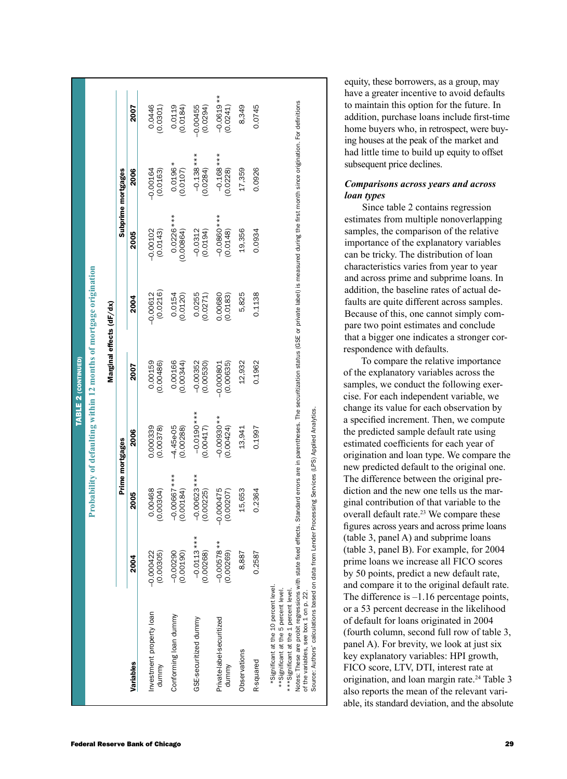|                                        |                                                                    |                          |                    | 2007      | 0.0446<br>(0.0301)                | $(0.0119$<br>(0.0184)       | $-0.00455$<br>(0.0294)     | $-0.0619**$<br>(0.0241)            | 8,349        | 0.0745    | equity, these borrowers, as a group, may<br>have a greater incentive to avoid defaults<br>to maintain this option for the future. In<br>addition, purchase loans include first-time<br>home buyers who, in retrospect, were buy-<br>ing houses at the peak of the market and                                                                                                                                                                                                                                                                                                                                                                                                                                                                                                                                                                                                                                                                                                            |  |
|----------------------------------------|--------------------------------------------------------------------|--------------------------|--------------------|-----------|-----------------------------------|-----------------------------|----------------------------|------------------------------------|--------------|-----------|-----------------------------------------------------------------------------------------------------------------------------------------------------------------------------------------------------------------------------------------------------------------------------------------------------------------------------------------------------------------------------------------------------------------------------------------------------------------------------------------------------------------------------------------------------------------------------------------------------------------------------------------------------------------------------------------------------------------------------------------------------------------------------------------------------------------------------------------------------------------------------------------------------------------------------------------------------------------------------------------|--|
|                                        |                                                                    |                          |                    | 2006      | $-0.00164$<br>(0.0163)            | $0.0196*$<br>(0.0107)       | $-0.138***$<br>(0.0284)    | $-0.168***$<br>(0.0228)            | 17,359       | 0.0926    | had little time to build up equity to offset<br>subsequent price declines.<br><b>Comparisons across years and across</b><br>loan types                                                                                                                                                                                                                                                                                                                                                                                                                                                                                                                                                                                                                                                                                                                                                                                                                                                  |  |
|                                        |                                                                    |                          | Subprime mortgages | 2005      | (0.0143)<br>$-0.00102$            | $0.0226***$<br>(0.00864)    | $-0.0312$<br>(0.0194)      | $-0.0860$ ***<br>(0.0148)          | 19,356       | 0.0934    | Since table 2 contains regression<br>estimates from multiple nonoverlapping<br>samples, the comparison of the relative<br>importance of the explanatory variables<br>can be tricky. The distribution of loan<br>characteristics varies from year to year                                                                                                                                                                                                                                                                                                                                                                                                                                                                                                                                                                                                                                                                                                                                |  |
|                                        | Probability of defaulting within 12 months of mortgage origination | Marginal effects (dF/dx) |                    | 2004      | (0.0216)<br>$-0.00612$            | 0.0154<br>(0.0120)          | 0.0255<br>(0.0271)         | 0.00680<br>(0.0183)                | 5,825        | 0.1138    | and across prime and subprime loans. In<br>addition, the baseline rates of actual de-<br>faults are quite different across samples.<br>Because of this, one cannot simply com-<br>pare two point estimates and conclude<br>that a bigger one indicates a stronger cor-                                                                                                                                                                                                                                                                                                                                                                                                                                                                                                                                                                                                                                                                                                                  |  |
| TABLE 2 (CONTINUED)                    |                                                                    |                          |                    | 2007      | 0.00159<br>0.00486)               | 0.00166<br>(0.00344)        | $-0.00352$<br>$(0.00530)$  | $-0.000801$<br>(0.00635)           | 12,932       | 0.1962    | respondence with defaults.<br>To compare the relative importance<br>of the explanatory variables across the<br>samples, we conduct the following exer-<br>cise. For each independent variable, we                                                                                                                                                                                                                                                                                                                                                                                                                                                                                                                                                                                                                                                                                                                                                                                       |  |
|                                        |                                                                    |                          | Prime mortgages    | 2006      | 0.000339<br>(0.00378)             | $-4.45e-05$<br>$(0.00288)$  | $-0.0190***$<br>(0.00417)  | $-0.00930**$<br>(0.00424)          | 13,941       | 0.1997    | change its value for each observation by<br>a specified increment. Then, we compute<br>the predicted sample default rate using<br>estimated coefficients for each year of<br>origination and loan type. We compare the                                                                                                                                                                                                                                                                                                                                                                                                                                                                                                                                                                                                                                                                                                                                                                  |  |
|                                        |                                                                    |                          |                    | 2005      | 0.00468<br>(0.00304)              | $-0.00667$ ***<br>(0.00184) | $-0.00623***$<br>(0.00225) | $-0.000475$<br>(0.00207)           | 15,653       | 0.2364    | new predicted default to the original one.<br>The difference between the original pre-<br>diction and the new one tells us the mar-<br>ginal contribution of that variable to the<br>overall default rate. <sup>23</sup> We compare these<br>figures across years and across prime loans                                                                                                                                                                                                                                                                                                                                                                                                                                                                                                                                                                                                                                                                                                |  |
|                                        |                                                                    |                          |                    | 2004      | (0.00305)<br>$-0.000422$          | $-0.00290$<br>(0.00190)     | $-0.0113***$<br>(0.00268)  | ₩<br>$-0.00578$<br>(0.00269)       | 8,887        | 0.2587    | (table 3, panel A) and subprime loans<br>(table 3, panel B). For example, for 2004<br>prime loans we increase all FICO scores<br>by 50 points, predict a new default rate,<br>and compare it to the original default rate.                                                                                                                                                                                                                                                                                                                                                                                                                                                                                                                                                                                                                                                                                                                                                              |  |
|                                        |                                                                    |                          |                    | Variables | Investment property loan<br>dummy | Conforming loan dummy       | GSE-securitized dummy      | Private-label-securitized<br>dummy | Observations | R-squared | Notes: These are probit regressions with state fixed effects. Standard errors are in parentheses. The securitization status (GSE or private label) is measured during the first month since origination. For definitions<br>Source: Authors' calculations based on data from Lender Processing Services (LPS) Applied Analytics.<br>*Significant at the 10 percent level<br>** Significant at the 5 percent level<br>*** Significant at the 1 percent level<br>The difference is $-1.16$ percentage points,<br>of the variables, see box 1 on p.<br>or a 53 percent decrease in the likelihood<br>of default for loans originated in 2004<br>(fourth column, second full row of table 3,<br>panel A). For brevity, we look at just six<br>key explanatory variables: HPI growth,<br>FICO score, LTV, DTI, interest rate at<br>origination, and loan margin rate. <sup>24</sup> Table 3<br>also reports the mean of the relevant vari-<br>able, its standard deviation, and the absolute |  |
| <b>Federal Reserve Bank of Chicago</b> |                                                                    |                          |                    |           |                                   |                             |                            |                                    |              |           |                                                                                                                                                                                                                                                                                                                                                                                                                                                                                                                                                                                                                                                                                                                                                                                                                                                                                                                                                                                         |  |

# *Comparisons across years and across loan types*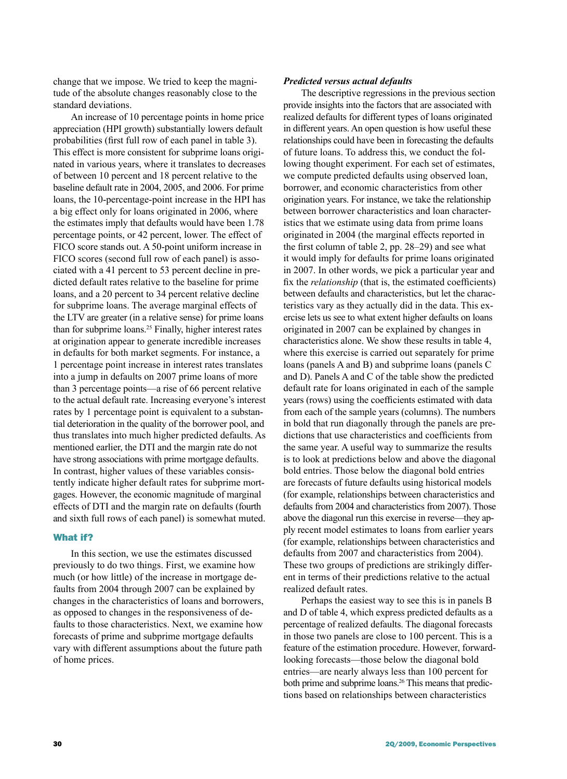change that we impose. We tried to keep the magnitude of the absolute changes reasonably close to the standard deviations.

An increase of 10 percentage points in home price appreciation (HPI growth) substantially lowers default probabilities (first full row of each panel in table 3). This effect is more consistent for subprime loans originated in various years, where it translates to decreases of between 10 percent and 18 percent relative to the baseline default rate in 2004, 2005, and 2006. For prime loans, the 10-percentage-point increase in the HPI has a big effect only for loans originated in 2006, where the estimates imply that defaults would have been 1.78 percentage points, or 42 percent, lower. The effect of FICO score stands out. A 50-point uniform increase in FICO scores (second full row of each panel) is associated with a 41 percent to 53 percent decline in predicted default rates relative to the baseline for prime loans, and a 20 percent to 34 percent relative decline for subprime loans. The average marginal effects of the LTV are greater (in a relative sense) for prime loans than for subprime loans.25 Finally, higher interest rates at origination appear to generate incredible increases in defaults for both market segments. For instance, a 1 percentage point increase in interest rates translates into a jump in defaults on 2007 prime loans of more than 3 percentage points—a rise of 66 percent relative to the actual default rate. Increasing everyone's interest rates by 1 percentage point is equivalent to a substantial deterioration in the quality of the borrower pool, and thus translates into much higher predicted defaults. As mentioned earlier, the DTI and the margin rate do not have strong associations with prime mortgage defaults. In contrast, higher values of these variables consistently indicate higher default rates for subprime mortgages. However, the economic magnitude of marginal effects of DTI and the margin rate on defaults (fourth and sixth full rows of each panel) is somewhat muted.

# What if?

In this section, we use the estimates discussed previously to do two things. First, we examine how much (or how little) of the increase in mortgage defaults from 2004 through 2007 can be explained by changes in the characteristics of loans and borrowers, as opposed to changes in the responsiveness of defaults to those characteristics. Next, we examine how forecasts of prime and subprime mortgage defaults vary with different assumptions about the future path of home prices.

# *Predicted versus actual defaults*

The descriptive regressions in the previous section provide insights into the factors that are associated with realized defaults for different types of loans originated in different years. An open question is how useful these relationships could have been in forecasting the defaults of future loans. To address this, we conduct the following thought experiment. For each set of estimates, we compute predicted defaults using observed loan, borrower, and economic characteristics from other origination years. For instance, we take the relationship between borrower characteristics and loan characteristics that we estimate using data from prime loans originated in 2004 (the marginal effects reported in the first column of table 2, pp. 28–29) and see what it would imply for defaults for prime loans originated in 2007. In other words, we pick a particular year and fix the *relationship* (that is, the estimated coefficients) between defaults and characteristics, but let the characteristics vary as they actually did in the data. This exercise lets us see to what extent higher defaults on loans originated in 2007 can be explained by changes in characteristics alone. We show these results in table 4, where this exercise is carried out separately for prime loans (panels A and B) and subprime loans (panels C and D). Panels A and C of the table show the predicted default rate for loans originated in each of the sample years (rows) using the coefficients estimated with data from each of the sample years (columns). The numbers in bold that run diagonally through the panels are predictions that use characteristics and coefficients from the same year. A useful way to summarize the results is to look at predictions below and above the diagonal bold entries. Those below the diagonal bold entries are forecasts of future defaults using historical models (for example, relationships between characteristics and defaults from 2004 and characteristics from 2007). Those above the diagonal run this exercise in reverse—they apply recent model estimates to loans from earlier years (for example, relationships between characteristics and defaults from 2007 and characteristics from 2004). These two groups of predictions are strikingly different in terms of their predictions relative to the actual realized default rates.

Perhaps the easiest way to see this is in panels B and D of table 4, which express predicted defaults as a percentage of realized defaults. The diagonal forecasts in those two panels are close to 100 percent. This is a feature of the estimation procedure. However, forwardlooking forecasts—those below the diagonal bold entries—are nearly always less than 100 percent for both prime and subprime loans.<sup>26</sup> This means that predictions based on relationships between characteristics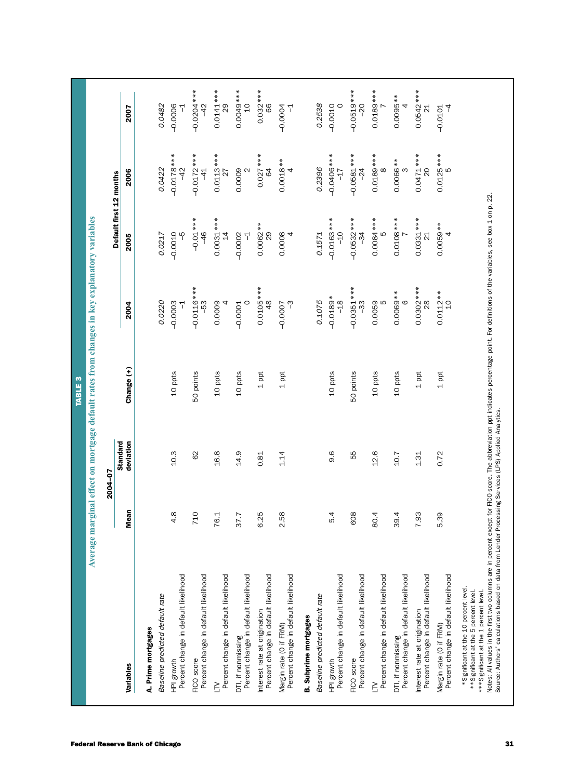|                                                                                                                            |                          | 2004-07         |            |                              |                                |                               |                               |
|----------------------------------------------------------------------------------------------------------------------------|--------------------------|-----------------|------------|------------------------------|--------------------------------|-------------------------------|-------------------------------|
|                                                                                                                            |                          | <b>Standard</b> |            |                              | Default first 12 months        |                               |                               |
| Variables                                                                                                                  | <b>Mean</b>              | deviation       | Change (+) | 2004                         | 2005                           | 2006                          | 2007                          |
| A. Prime mortgages                                                                                                         |                          |                 |            |                              |                                |                               |                               |
| Baseline predicted default rate                                                                                            |                          |                 |            | 0.0220                       | 0.0217                         | 0.0422                        | 0.0482                        |
| Percent change in default likelihood<br>HPI growth                                                                         | ${}^{\infty}$<br>4       | 10.3            | 10 ppts    | $-0.0003$                    | $-0.0010$<br>ပှ                | $-0.0178***$<br>$-42$         | $-0.0006$                     |
| Percent change in default likelihood<br>FICO score                                                                         | 710                      | 62              | 50 points  | $-0.0116***$<br>-53          | $-0.01***$<br>$-46$            | $-0.0172***$<br>$\frac{4}{1}$ | $-0.0204***$<br>$\frac{2}{3}$ |
| Percent change in default likelihood<br>$\leq$                                                                             | 76.1                     | 16.8            | 10 ppts    | 0.0009                       | $0.0031***$<br>$\overline{4}$  | $0.0113***$<br>27             | $0.0141***$<br>29             |
| Percent change in default likelihood<br>DTI, if nonmissing                                                                 | ∼.<br>37.                | 14.9            | 10 ppts    | $-0.0001$<br>$\circ$         | $-0.0002$<br>7                 | 0.0009<br>$\sim$              | $0.0049***$<br>$\overline{c}$ |
| Percent change in default likelihood<br>Interest rate at origination                                                       | ι٥<br>6.2                | 0.81            | $1$ ppt    | $0.0105***$<br>48            | $0.0062**$<br>$\frac{8}{2}$    | $0.027***$<br>\$              | $0.032***$<br>66              |
| Percent change in default likelihood<br>Margin rate (0 if FRM)                                                             | $\infty$<br>2.5          | 1.14            | 1 ppt      | ကို<br>$-0.0007$             | 0.0008                         | $0.0018**$<br>4               | $-0.0004$<br>ᅱ                |
| <b>B.</b> Subprime mortgages                                                                                               |                          |                 |            |                              |                                |                               |                               |
| Baseline predicted default rate                                                                                            |                          |                 |            | 0.1075                       | 0.1571                         | 0.2396                        | 0.2538                        |
| Percent change in default likelihood<br>HPI growth                                                                         | 4<br>LO                  | 9.6             | 10 ppts    | $-0.0189*$<br>$-18$          | $-0.0163$ ***<br>$-10$         | $-0.0406$ ***<br>$-17$        | $-0.0010$                     |
| Percent change in default likelihood<br>FICO score                                                                         | $\infty$<br><sup>o</sup> | 55              | 50 points  | $-0.0351***$<br>ကို          | $-0.0532***$<br>$-34$          | $-0.0581***$<br>$-24$         | $-0.0519***$<br>$-20$         |
| Percent change in default likelihood<br>$\geq$                                                                             | 4<br>80.                 | 12.6            | 10 ppts    | 0.0059                       | $0.0084***$<br>LC              | $0.0189***$<br>$\infty$       | $0.0189***$                   |
| Percent change in default likelihood<br>DTI, if nonmissing                                                                 | 4<br>$\overline{39}$ .   | 10.7            | 10 ppts    | 0.0069 **                    | $0.0108***$                    | 0.0066 **<br>ო                | $0.0095**$                    |
| Percent change in default likelihood<br>Interest rate at origination                                                       | ლ<br>7.9                 | 1.31            | $1$ ppt    | $0.0302***$<br>$\frac{8}{2}$ | $0.0331***$<br>$\overline{21}$ | $0.0471***$<br>20             | $0.0542***$<br>21             |
| Percent change in default likelihood<br>Margin rate (O if FRM)                                                             | თ<br>5.3                 | 0.72            | 1 ppt      | $0.0112**$<br>$\overline{0}$ | $0.0059**$<br>4                | $0.0125***$<br>LO             | $\overline{1}$<br>$-0.0101$   |
| *Significant at the 10 percent level.<br>** Significant at the 5 percent level.<br>*** Significant at the 1 percent level. |                          |                 |            |                              |                                |                               |                               |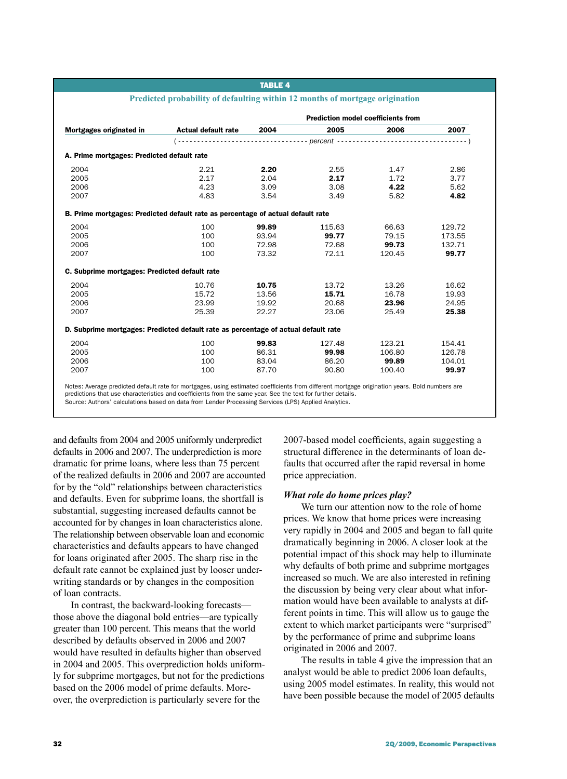#### table 4

|                                                                                    |                            | <b>Prediction model coefficients from</b> |        |        |        |  |  |
|------------------------------------------------------------------------------------|----------------------------|-------------------------------------------|--------|--------|--------|--|--|
| Mortgages originated in                                                            | <b>Actual default rate</b> | 2004                                      | 2005   | 2006   | 2007   |  |  |
|                                                                                    |                            |                                           |        |        |        |  |  |
| A. Prime mortgages: Predicted default rate                                         |                            |                                           |        |        |        |  |  |
| 2004                                                                               | 2.21                       | 2.20                                      | 2.55   | 1.47   | 2.86   |  |  |
| 2005                                                                               | 2.17                       | 2.04                                      | 2.17   | 1.72   | 3.77   |  |  |
| 2006                                                                               | 4.23                       | 3.09                                      | 3.08   | 4.22   | 5.62   |  |  |
| 2007                                                                               | 4.83                       | 3.54                                      | 3.49   | 5.82   | 4.82   |  |  |
| B. Prime mortgages: Predicted default rate as percentage of actual default rate    |                            |                                           |        |        |        |  |  |
| 2004                                                                               | 100                        | 99.89                                     | 115.63 | 66.63  | 129.72 |  |  |
| 2005                                                                               | 100                        | 93.94                                     | 99.77  | 79.15  | 173.55 |  |  |
| 2006                                                                               | 100                        | 72.98                                     | 72.68  | 99.73  | 132.71 |  |  |
| 2007                                                                               | 100                        | 73.32                                     | 72.11  | 120.45 | 99.77  |  |  |
| C. Subprime mortgages: Predicted default rate                                      |                            |                                           |        |        |        |  |  |
| 2004                                                                               | 10.76                      | 10.75                                     | 13.72  | 13.26  | 16.62  |  |  |
| 2005                                                                               | 15.72                      | 13.56                                     | 15.71  | 16.78  | 19.93  |  |  |
| 2006                                                                               | 23.99                      | 19.92                                     | 20.68  | 23.96  | 24.95  |  |  |
| 2007                                                                               | 25.39                      | 22.27                                     | 23.06  | 25.49  | 25.38  |  |  |
| D. Subprime mortgages: Predicted default rate as percentage of actual default rate |                            |                                           |        |        |        |  |  |
| 2004                                                                               | 100                        | 99.83                                     | 127.48 | 123.21 | 154.41 |  |  |
| 2005                                                                               | 100                        | 86.31                                     | 99.98  | 106.80 | 126.78 |  |  |
| 2006                                                                               | 100                        | 83.04                                     | 86.20  | 99.89  | 104.01 |  |  |
| 2007                                                                               | 100                        | 87.70                                     | 90.80  | 100.40 | 99.97  |  |  |

predictions that use characteristics and coefficients from the same year. See the text for further details. Source: Authors' calculations based on data from Lender Processing Services (LPS) Applied Analytics.

and defaults from 2004 and 2005 uniformly underpredict defaults in 2006 and 2007. The underprediction is more dramatic for prime loans, where less than 75 percent of the realized defaults in 2006 and 2007 are accounted for by the "old" relationships between characteristics and defaults. Even for subprime loans, the shortfall is substantial, suggesting increased defaults cannot be accounted for by changes in loan characteristics alone. The relationship between observable loan and economic characteristics and defaults appears to have changed for loans originated after 2005. The sharp rise in the default rate cannot be explained just by looser underwriting standards or by changes in the composition of loan contracts.

In contrast, the backward-looking forecasts those above the diagonal bold entries—are typically greater than 100 percent. This means that the world described by defaults observed in 2006 and 2007 would have resulted in defaults higher than observed in 2004 and 2005. This overprediction holds uniformly for subprime mortgages, but not for the predictions based on the 2006 model of prime defaults. Moreover, the overprediction is particularly severe for the

2007-based model coefficients, again suggesting a structural difference in the determinants of loan defaults that occurred after the rapid reversal in home price appreciation.

#### *What role do home prices play?*

We turn our attention now to the role of home prices. We know that home prices were increasing very rapidly in 2004 and 2005 and began to fall quite dramatically beginning in 2006. A closer look at the potential impact of this shock may help to illuminate why defaults of both prime and subprime mortgages increased so much. We are also interested in refining the discussion by being very clear about what information would have been available to analysts at different points in time. This will allow us to gauge the extent to which market participants were "surprised" by the performance of prime and subprime loans originated in 2006 and 2007.

The results in table 4 give the impression that an analyst would be able to predict 2006 loan defaults, using 2005 model estimates. In reality, this would not have been possible because the model of 2005 defaults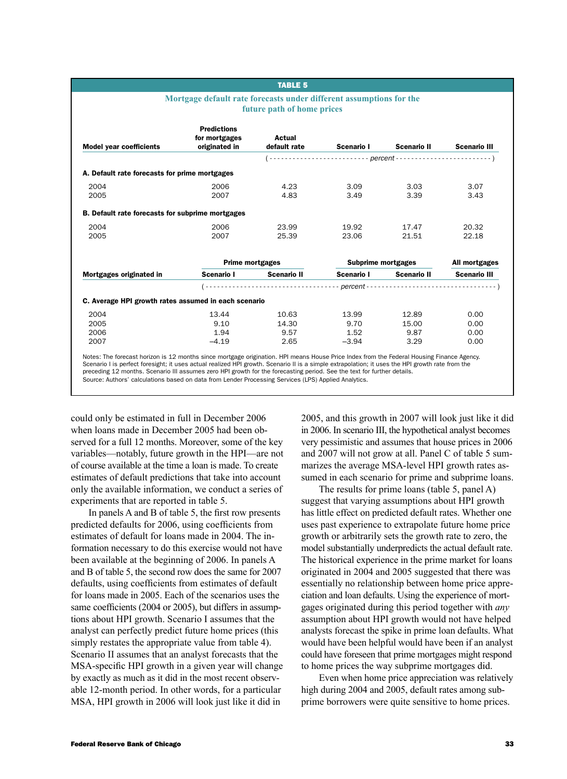|                                                      | <b>TABLE 5</b>                 |                                                                                |                                |                                                                                                                                                                                                                                                        |
|------------------------------------------------------|--------------------------------|--------------------------------------------------------------------------------|--------------------------------|--------------------------------------------------------------------------------------------------------------------------------------------------------------------------------------------------------------------------------------------------------|
|                                                      |                                |                                                                                |                                |                                                                                                                                                                                                                                                        |
| <b>Predictions</b><br>for mortgages<br>originated in | <b>Actual</b><br>default rate  | Scenario I                                                                     | <b>Scenario II</b>             | <b>Scenario III</b>                                                                                                                                                                                                                                    |
|                                                      |                                |                                                                                |                                |                                                                                                                                                                                                                                                        |
| A. Default rate forecasts for prime mortgages        |                                |                                                                                |                                |                                                                                                                                                                                                                                                        |
| 2006<br>2007                                         | 4.23<br>4.83                   | 3.09<br>3.49                                                                   | 3.03<br>3.39                   | 3.07<br>3.43                                                                                                                                                                                                                                           |
| B. Default rate forecasts for subprime mortgages     |                                |                                                                                |                                |                                                                                                                                                                                                                                                        |
| 2006<br>2007                                         | 23.99<br>25.39                 | 19.92<br>23.06                                                                 | 17.47<br>21.51                 | 20.32<br>22.18                                                                                                                                                                                                                                         |
|                                                      |                                |                                                                                |                                | All mortgages                                                                                                                                                                                                                                          |
| Scenario I                                           | <b>Scenario II</b>             |                                                                                | <b>Scenario II</b>             | <b>Scenario III</b>                                                                                                                                                                                                                                    |
|                                                      |                                |                                                                                |                                |                                                                                                                                                                                                                                                        |
|                                                      |                                |                                                                                |                                |                                                                                                                                                                                                                                                        |
| 13.44<br>9.10<br>1.94<br>$-4.19$                     | 10.63<br>14.30<br>9.57<br>2.65 | 13.99<br>9.70<br>1.52<br>$-3.94$                                               | 12.89<br>15.00<br>9.87<br>3.29 | 0.00<br>0.00<br>0.00<br>0.00                                                                                                                                                                                                                           |
|                                                      |                                | <b>Prime mortgages</b><br>C. Average HPI growth rates assumed in each scenario | future path of home prices     | Mortgage default rate forecasts under different assumptions for the<br>$(- \cdots \cdots \cdots \cdots \cdots \cdots \cdots \cdots \text{percent} \cdots \cdots \cdots \cdots \cdots \cdots \cdots \cdots)$<br><b>Subprime mortgages</b><br>Scenario I |

Source: Authors' calculations based on data from Lender Processing Services (LPS) Applied Analytics.

could only be estimated in full in December 2006 when loans made in December 2005 had been observed for a full 12 months. Moreover, some of the key variables—notably, future growth in the HPI—are not of course available at the time a loan is made. To create estimates of default predictions that take into account only the available information, we conduct a series of

experiments that are reported in table 5. In panels A and B of table 5, the first row presents predicted defaults for 2006, using coefficients from estimates of default for loans made in 2004. The information necessary to do this exercise would not have been available at the beginning of 2006. In panels A and B of table 5, the second row does the same for 2007 defaults, using coefficients from estimates of default for loans made in 2005. Each of the scenarios uses the same coefficients (2004 or 2005), but differs in assumptions about HPI growth. Scenario I assumes that the analyst can perfectly predict future home prices (this simply restates the appropriate value from table 4). Scenario II assumes that an analyst forecasts that the MSA-specific HPI growth in a given year will change by exactly as much as it did in the most recent observable 12-month period. In other words, for a particular MSA, HPI growth in 2006 will look just like it did in

2005, and this growth in 2007 will look just like it did in 2006. In scenario III, the hypothetical analyst becomes very pessimistic and assumes that house prices in 2006 and 2007 will not grow at all. Panel C of table 5 summarizes the average MSA-level HPI growth rates assumed in each scenario for prime and subprime loans.

The results for prime loans (table 5, panel A) suggest that varying assumptions about HPI growth has little effect on predicted default rates. Whether one uses past experience to extrapolate future home price growth or arbitrarily sets the growth rate to zero, the model substantially underpredicts the actual default rate. The historical experience in the prime market for loans originated in 2004 and 2005 suggested that there was essentially no relationship between home price appreciation and loan defaults. Using the experience of mortgages originated during this period together with *any* assumption about HPI growth would not have helped analysts forecast the spike in prime loan defaults. What would have been helpful would have been if an analyst could have foreseen that prime mortgages might respond to home prices the way subprime mortgages did.

Even when home price appreciation was relatively high during 2004 and 2005, default rates among subprime borrowers were quite sensitive to home prices.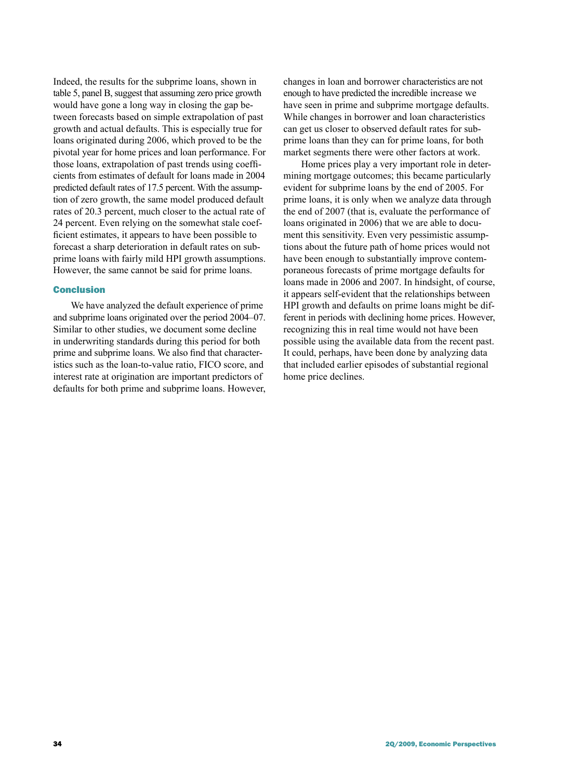Indeed, the results for the subprime loans, shown in table 5, panel B, suggest that assuming zero price growth would have gone a long way in closing the gap between forecasts based on simple extrapolation of past growth and actual defaults. This is especially true for loans originated during 2006, which proved to be the pivotal year for home prices and loan performance. For those loans, extrapolation of past trends using coefficients from estimates of default for loans made in 2004 predicted default rates of 17.5 percent. With the assumption of zero growth, the same model produced default rates of 20.3 percent, much closer to the actual rate of 24 percent. Even relying on the somewhat stale coefficient estimates, it appears to have been possible to forecast a sharp deterioration in default rates on subprime loans with fairly mild HPI growth assumptions. However, the same cannot be said for prime loans.

# Conclusion

We have analyzed the default experience of prime and subprime loans originated over the period 2004–07. Similar to other studies, we document some decline in underwriting standards during this period for both prime and subprime loans. We also find that characteristics such as the loan-to-value ratio, FICO score, and interest rate at origination are important predictors of defaults for both prime and subprime loans. However, changes in loan and borrower characteristics are not enough to have predicted the incredible increase we have seen in prime and subprime mortgage defaults. While changes in borrower and loan characteristics can get us closer to observed default rates for subprime loans than they can for prime loans, for both market segments there were other factors at work.

Home prices play a very important role in determining mortgage outcomes; this became particularly evident for subprime loans by the end of 2005. For prime loans, it is only when we analyze data through the end of 2007 (that is, evaluate the performance of loans originated in 2006) that we are able to document this sensitivity. Even very pessimistic assumptions about the future path of home prices would not have been enough to substantially improve contemporaneous forecasts of prime mortgage defaults for loans made in 2006 and 2007. In hindsight, of course, it appears self-evident that the relationships between HPI growth and defaults on prime loans might be different in periods with declining home prices. However, recognizing this in real time would not have been possible using the available data from the recent past. It could, perhaps, have been done by analyzing data that included earlier episodes of substantial regional home price declines.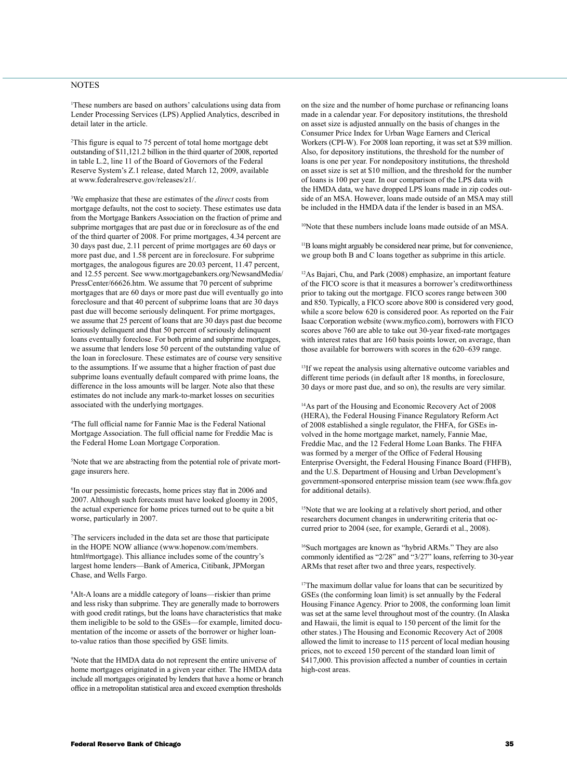# **NOTES**

1 These numbers are based on authors' calculations using data from Lender Processing Services (LPS) Applied Analytics, described in detail later in the article.

2 This figure is equal to 75 percent of total home mortgage debt outstanding of \$11,121.2 billion in the third quarter of 2008, reported in table L.2, line 11 of the Board of Governors of the Federal Reserve System's Z.1 release, dated March 12, 2009, available at www.federalreserve.gov/releases/z1/.

3 We emphasize that these are estimates of the *direct* costs from mortgage defaults, not the cost to society. These estimates use data from the Mortgage Bankers Association on the fraction of prime and subprime mortgages that are past due or in foreclosure as of the end of the third quarter of 2008. For prime mortgages, 4.34 percent are 30 days past due, 2.11 percent of prime mortgages are 60 days or more past due, and 1.58 percent are in foreclosure. For subprime mortgages, the analogous figures are 20.03 percent, 11.47 percent, and 12.55 percent. See www.mortgagebankers.org/NewsandMedia/ PressCenter/66626.htm. We assume that 70 percent of subprime mortgages that are 60 days or more past due will eventually go into foreclosure and that 40 percent of subprime loans that are 30 days past due will become seriously delinquent. For prime mortgages, we assume that 25 percent of loans that are 30 days past due become seriously delinquent and that 50 percent of seriously delinquent loans eventually foreclose. For both prime and subprime mortgages, we assume that lenders lose 50 percent of the outstanding value of the loan in foreclosure. These estimates are of course very sensitive to the assumptions. If we assume that a higher fraction of past due subprime loans eventually default compared with prime loans, the difference in the loss amounts will be larger. Note also that these estimates do not include any mark-to-market losses on securities associated with the underlying mortgages.

4 The full official name for Fannie Mae is the Federal National Mortgage Association. The full official name for Freddie Mac is the Federal Home Loan Mortgage Corporation.

5 Note that we are abstracting from the potential role of private mortgage insurers here.

6 In our pessimistic forecasts, home prices stay flat in 2006 and 2007. Although such forecasts must have looked gloomy in 2005, the actual experience for home prices turned out to be quite a bit worse, particularly in 2007.

7 The servicers included in the data set are those that participate in the HOPE NOW alliance (www.hopenow.com/members. html#mortgage). This alliance includes some of the country's largest home lenders—Bank of America, Citibank, JPMorgan Chase, and Wells Fargo.

8 Alt-A loans are a middle category of loans—riskier than prime and less risky than subprime. They are generally made to borrowers with good credit ratings, but the loans have characteristics that make them ineligible to be sold to the GSEs—for example, limited documentation of the income or assets of the borrower or higher loanto-value ratios than those specified by GSE limits.

9 Note that the HMDA data do not represent the entire universe of home mortgages originated in a given year either. The HMDA data include all mortgages originated by lenders that have a home or branch office in a metropolitan statistical area and exceed exemption thresholds

on the size and the number of home purchase or refinancing loans made in a calendar year. For depository institutions, the threshold on asset size is adjusted annually on the basis of changes in the Consumer Price Index for Urban Wage Earners and Clerical Workers (CPI-W). For 2008 loan reporting, it was set at \$39 million. Also, for depository institutions, the threshold for the number of loans is one per year. For nondepository institutions, the threshold on asset size is set at \$10 million, and the threshold for the number of loans is 100 per year. In our comparison of the LPS data with the HMDA data, we have dropped LPS loans made in zip codes outside of an MSA. However, loans made outside of an MSA may still be included in the HMDA data if the lender is based in an MSA.

<sup>10</sup>Note that these numbers include loans made outside of an MSA.

11B loans might arguably be considered near prime, but for convenience, we group both B and C loans together as subprime in this article.

12As Bajari, Chu, and Park (2008) emphasize, an important feature of the FICO score is that it measures a borrower's creditworthiness prior to taking out the mortgage. FICO scores range between 300 and 850. Typically, a FICO score above 800 is considered very good, while a score below 620 is considered poor. As reported on the Fair Isaac Corporation website (www.myfico.com), borrowers with FICO scores above 760 are able to take out 30-year fixed-rate mortgages with interest rates that are 160 basis points lower, on average, than those available for borrowers with scores in the 620–639 range.

<sup>13</sup>If we repeat the analysis using alternative outcome variables and different time periods (in default after 18 months, in foreclosure, 30 days or more past due, and so on), the results are very similar.

14As part of the Housing and Economic Recovery Act of 2008 (HERA), the Federal Housing Finance Regulatory Reform Act of 2008 established a single regulator, the FHFA, for GSEs involved in the home mortgage market, namely, Fannie Mae, Freddie Mac, and the 12 Federal Home Loan Banks. The FHFA was formed by a merger of the Office of Federal Housing Enterprise Oversight, the Federal Housing Finance Board (FHFB), and the U.S. Department of Housing and Urban Development's government-sponsored enterprise mission team (see www.fhfa.gov for additional details).

<sup>15</sup>Note that we are looking at a relatively short period, and other researchers document changes in underwriting criteria that occurred prior to 2004 (see, for example, Gerardi et al., 2008).

16Such mortgages are known as "hybrid ARMs." They are also commonly identified as "2/28" and "3/27" loans, referring to 30-year ARMs that reset after two and three years, respectively.

<sup>17</sup>The maximum dollar value for loans that can be securitized by GSEs (the conforming loan limit) is set annually by the Federal Housing Finance Agency. Prior to 2008, the conforming loan limit was set at the same level throughout most of the country. (In Alaska and Hawaii, the limit is equal to 150 percent of the limit for the other states.) The Housing and Economic Recovery Act of 2008 allowed the limit to increase to 115 percent of local median housing prices, not to exceed 150 percent of the standard loan limit of \$417,000. This provision affected a number of counties in certain high-cost areas.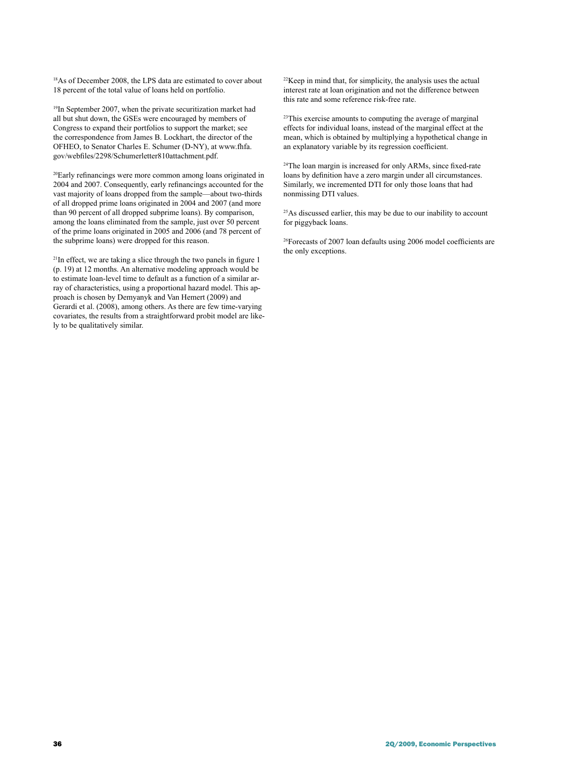<sup>18</sup>As of December 2008, the LPS data are estimated to cover about 18 percent of the total value of loans held on portfolio.

<sup>19</sup>In September 2007, when the private securitization market had all but shut down, the GSEs were encouraged by members of Congress to expand their portfolios to support the market; see the correspondence from James B. Lockhart, the director of the OFHEO, to Senator Charles E. Schumer (D-NY), at www.fhfa. gov/webfiles/2298/Schumerletter810attachment.pdf.

20Early refinancings were more common among loans originated in 2004 and 2007. Consequently, early refinancings accounted for the vast majority of loans dropped from the sample—about two-thirds of all dropped prime loans originated in 2004 and 2007 (and more than 90 percent of all dropped subprime loans). By comparison, among the loans eliminated from the sample, just over 50 percent of the prime loans originated in 2005 and 2006 (and 78 percent of the subprime loans) were dropped for this reason.

<sup>21</sup>In effect, we are taking a slice through the two panels in figure 1 (p. 19) at 12 months. An alternative modeling approach would be to estimate loan-level time to default as a function of a similar array of characteristics, using a proportional hazard model. This approach is chosen by Demyanyk and Van Hemert (2009) and Gerardi et al. (2008), among others. As there are few time-varying covariates, the results from a straightforward probit model are likely to be qualitatively similar.

 $22$ Keep in mind that, for simplicity, the analysis uses the actual interest rate at loan origination and not the difference between this rate and some reference risk-free rate.

<sup>23</sup>This exercise amounts to computing the average of marginal effects for individual loans, instead of the marginal effect at the mean, which is obtained by multiplying a hypothetical change in an explanatory variable by its regression coefficient.

<sup>24</sup>The loan margin is increased for only ARMs, since fixed-rate loans by definition have a zero margin under all circumstances. Similarly, we incremented DTI for only those loans that had nonmissing DTI values.

 $25$ As discussed earlier, this may be due to our inability to account for piggyback loans.

26Forecasts of 2007 loan defaults using 2006 model coefficients are the only exceptions.